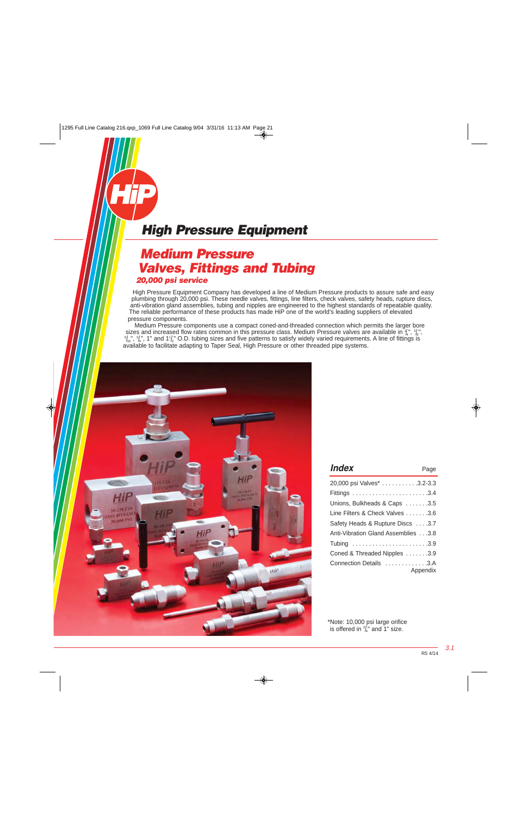### **Medium Pressure Valves, Fittings and Tubing 20,000 psi service**

High Pressure Equipment Company has developed a line of Medium Pressure products to assure safe and easy plumbing through 20,000 psi. These needle valves, fittings, line filters, check valves, safety heads, rupture discs, anti-vibration gland assemblies, tubing and nipples are engineered to the highest standards of repeatable quality. The reliable performance of these products has made HiP one of the world's leading suppliers of elevated pressure components.

 Medium Pressure components use a compact coned-and-threaded connection which permits the larger bore sizes and increased flow rates common in this pressure class. Medium Pressure valves are available in  $\frac{1}{4}$ ,  $\frac{3}{8}$ ,  $\frac{1}{8}$ ,  $\frac{1}{8}$ ,  $\frac{1}{8}$ ,  $\frac{1}{8}$ ,  $\frac{1}{8}$ ,  $\frac{1}{8}$ ,  $\frac{1}{8}$ ,  $\frac{1}{8}$ ,  $\frac{1}{8}$  $/_{16}$ ",  $3/_{4}$ ", 1" and 11/ $_2$ " O.D. tubing sizes and five patterns to satisfy widely varied requirements. A line of fittings is available to facilitate adapting to Taper Seal, High Pressure or other threaded pipe systems.



| <i><b>Index</b></i>                | Page     |
|------------------------------------|----------|
| 20,000 psi Valves* 3.2-3.3         |          |
|                                    |          |
| Unions, Bulkheads & Caps 3.5       |          |
| Line Filters & Check Valves 3.6    |          |
| Safety Heads & Rupture Discs 3.7   |          |
| Anti-Vibration Gland Assemblies3.8 |          |
|                                    |          |
| Coned & Threaded Nipples 3.9       |          |
| Connection Details 3.A             | Appendix |

\*Note: 10,000 psi large orifice is offered in  $\frac{3}{4}$ " and 1" size.

3.1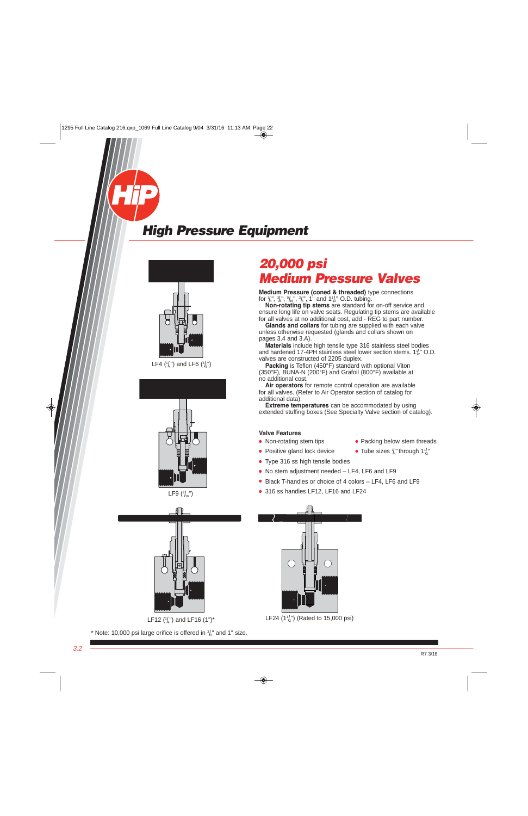<span id="page-1-0"></span>





LF12 ( $\frac{3}{4}$ ") and LF16 (1")\*

\* Note: 10,000 psi large orifice is offered in  $\frac{3}{4}$  and 1" size.

### **20,000 psi Medium Pressure Valves**

**Medium Pressure (coned & threaded)** type connections for  $\frac{1}{4}$ ",  $\frac{3}{8}$ ",  $\frac{9}{16}$ ",  $\frac{3}{4}$ ", 1" and 1<sup>1</sup>/<sub>2</sub>" O.D. tubing.

 **Non-rotating tip stems** are standard for on-off service and ensure long life on valve seats. Regulating tip stems are available for all valves at no additional cost, add - REG to part number.

 **Glands and collars** for tubing are supplied with each valve unless otherwise requested (glands and collars shown on pages 3.4 and 3.A).

 **Materials** include high tensile type 316 stainless steel bodies and hardened 17-4PH stainless steel lower section stems.  $1\frac{1}{2}$ " O.D. valves are constructed of 2205 duplex.

**Packing** is Teflon (450°F) standard with optional Viton (350°F), BUNA-N (200°F) and Grafoil (800°F) available at no additional cost.

 **Air operators** for remote control operation are available for all valves. (Refer to Air Operator section of catalog for additional data).

 **Extreme temperatures** can be accommodated by using extended stuffing boxes (See Specialty Valve section of catalog).

#### **Valve Features**

- 
- Positive gland lock device
- Non-rotating stem tips Packing below stem threads
	- $\frac{1}{4}$ " through 1 $\frac{1}{2}$ "
- Type 316 ss high tensile bodies
- No stem adjustment needed LF4, LF6 and LF9
- Black T-handles or choice of 4 colors LF4, LF6 and LF9
- 316 ss handles LF12, LF16 and LF24



LF24  $(1\frac{1}{2})$  (Rated to 15,000 psi)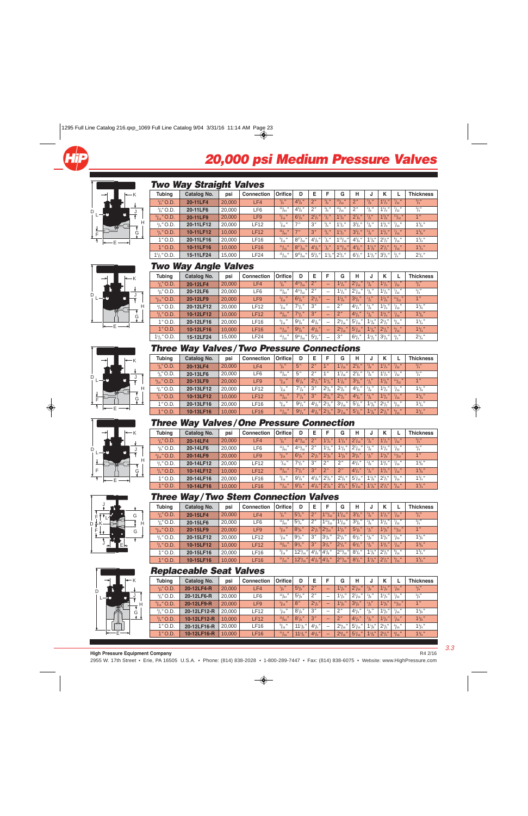



#### **Two Way Straight Valves**

| <b>Tubing</b>          | Catalog No. | psi    | <b>Connection</b> | Orifice                | D                 | Е                  | E                             | G                              | н                    | u                     |                |                         | <b>Thickness</b> |
|------------------------|-------------|--------|-------------------|------------------------|-------------------|--------------------|-------------------------------|--------------------------------|----------------------|-----------------------|----------------|-------------------------|------------------|
| $\frac{1}{4}$ " O.D.   | 20-11LF4    | 20,000 | LF4               | $^{1}/_{8}$ "          | $4^{3}/_{8}$      | 2"                 | $^{3}/_{8}$ "                 | 131<br>/16                     | 2''                  | $\frac{3}{8}$         | $1^{1}/_{4}$ " | 7/32                    | $^{3}/_{4}''$    |
| $\frac{3}{8}$ " O.D.   | 20-11LF6    | 20,000 | LF6               | 13 <sub>I</sub><br>164 | $4^{3}/_{8}$      | 2"                 | 31H<br>/s                     | 13 <sub>I</sub><br>116         | $\Omega$             | 31 <sub>1</sub><br>/8 | $1^{1}/_{4}$ " | /32                     | $^{3}/_{4}''$    |
| $\frac{9}{16}$ " O.D.  | 20-11LF9    | 20,000 | LF9               | 5/16                   | $6^{1}/s$         | $2^{1}/2$          | 11 <sup>11</sup><br>I2        | $1\frac{1}{8}$                 | $2^{7}/_{8}$         | $\mathbf{r}_{2}$      | $1^{3}/s''$    | 11/32                   | 1 <sup>11</sup>  |
| $\frac{3}{4}$ " O.D.   | 20-11LF12   | 20.000 | LF12              | $^{7}/_{16}$ "         | 7 <sup>''</sup>   | 3''                | 31 <sub>1</sub>               | $1^{1}/2$                      | $3^{3}/_{4}$         | $^{5}/_{8}$ "         | $1^3/4''$      | $^{7}/_{16}$ "          | $1^{3}/_{8}$ "   |
| $\frac{3}{4}$ " O.D.   | 10-11LF12   | 10.000 | <b>LF12</b>       | 33/64                  | 7''               | 3''                | $^{3}/_{4}$ "                 | $1\frac{1}{2}$                 | $3^{3}/_{4}$         | $^{5}/_{8}$ "         | $1^{3}/_{4}$   | $\frac{7}{16}$          | $1^{3}/8$        |
| $1"$ O.D.              | 20-11LF16   | 20,000 | <b>LF16</b>       | $^{9}/_{16}$ $''$      | $8^{27}/_{64}$    | $4^{1}/s$          | $71 -$<br>/s                  | $1^{13}/_{16}$                 | $4^{5}/\mathrm{s}$ " | $1^{1}/s''$           | $2^{1}/2$      | $91$ $\mu$<br>/16       | $1^3/4$          |
| $1"$ O.D.              | 10-11LF16   | 10.000 | <b>LF16</b>       | $-111/7$<br>116        | $8^{27}$ /<br>164 | $4^{1}/\mathrm{s}$ | 71 <sub>1</sub><br>$\sqrt{8}$ | $1^{13}/_{16}$<br>$\mathbf{u}$ | $4^{5}/\mathrm{s}$   | $1\frac{1}{8}$        | $2^{1}/2$      | 91 <sup>11</sup><br>/16 | $1^{3}/_{4}$ "   |
| $1\frac{1}{2}$ ," O.D. | 15-11LF24   | 15.000 | LF24              | $^{15}/_{16}$          | $9^{45}/_{64}$    | $5^{3}/_{4}$       | $1\frac{1}{4}$                | $2^{3}/_{4}$ "                 | $6^{1}/_{2}$         | $1\frac{1}{2}$        | $3^{3}/_{4}$ " | $^{3}/_{4}$ "           | $2^{1}/_{4}$ "   |

#### K J H G E D L









|--|

| <b>Tubing</b>          | Catalog No. | psi    | <b>Connection</b> | <b>Orifice</b>         | D                    | E              | F                        | G               | н              |                | κ              |                              | <b>Thickness</b> |
|------------------------|-------------|--------|-------------------|------------------------|----------------------|----------------|--------------------------|-----------------|----------------|----------------|----------------|------------------------------|------------------|
| $\frac{1}{4}$ " O.D.   | 20-12LF4    | 20,000 | LF4               | $\frac{1}{8}$ "        | $4^{13}/_{16}$       | 2 <sup>n</sup> | -                        | $1^{1}/_{4}$ "  | $2^{7}/_{16}$  | $\frac{3}{8}$  | $1^{1}/_{4}$ " | $^{\prime}$<br>7/32          | $^{3}/_{4}$ "    |
| $\frac{3}{8}$ " O.D.   | 20-12LF6    | 20,000 | LF6               | $\frac{13}{64}$        | $4^{13}/_{16}$       | 2"             | -                        | $1^{1}/_{4}$ "  | $2^{7}/_{16}$  | $1^{3}/8$      | $1^{1}/_{4}$ " | $^{7}/_{32}$ "               | $^{3}/_{4}''$    |
| $\frac{9}{16}$ " O.D.  | 20-12LF9    | 20,000 | LF9               | $^{5}/_{16}$           | $6^{5}/s$ "          | $2^{1}/2$ "    | -                        | $15/8$ "        | $3^{3}/8$ "    | $\frac{1}{2}$  | $1^{3}/s''$    | $111 -$ <sup>11</sup><br>132 | 1 <sup>''</sup>  |
| $\frac{3}{4}$ " O.D.   | 20-12LF12   | 20.000 | <b>LF12</b>       | $^{7}/_{16}$ "         | $7^{1}/2$            | 3''            | -                        | 2"              | $4^{1}/_{4}$ " | $1^{5}/8$      | $1^{3}/_{4}$ " | $^{7}/_{16}$ "               | $1^{3}/8$ "      |
| $^{3}/_{4}$ " O.D.     | 10-12LF12   | 10.000 | <b>LF12</b>       | 33/64                  | $7^{1}/2$            | 3''            | -                        | 2 <sup>n</sup>  | $4^{1}/_{4}$ " | 5/8            | $1^{3}/_{4}$ " | $71 -$<br>116                | $1^{3}/8$        |
| $1"$ O.D.              | 20-12LF16   | 20,000 | LF16              | $^{9}/_{16}$           | $9^{3}/8$ "          | $4^{1}/_{8}$ " | -                        | $2\frac{9}{16}$ | $5^{7}/_{16}$  | $1\frac{1}{8}$ | $2^{1}/2$      | $^{9}/_{16}$ "               | $1^{3}/_{4}$ "   |
| $1"$ O.D.              | 10-12LF16   | 10,000 | <b>LF16</b>       | 11/16                  | $9^{3}/\mathrm{s}$ " | $4^{1}/_{8}$ " | -                        | $2^{9}/_{16}$   | $5^{7}/_{16}$  | $1^{1}/s''$    | $2^{1}/2$      | 9/16                         | $1^3/4''$        |
| $1\frac{1}{2}$ ," O.D. | 15-12LF24   | 15,000 | LF24              | 15 <sub>I</sub><br>116 | $9^{61}/_{64}$       | $5^{3}/_{4}$ " | $\overline{\phantom{a}}$ | 3''             | $6^{3}/_{4}$ " | $1\frac{1}{2}$ | $3^{3}/_{4}$ " | $^{3}/_{4}$ "                | $2^1/4''$        |

### **Three Way Valves/Two Pressure Connections**

| <b>Tubing</b>         | Catalog No. | psi    | <b>Connection</b> | Orifice              | D                    | Е                  | E                    | G                             | н                    | J                      |                |                  | <b>Thickness</b> |
|-----------------------|-------------|--------|-------------------|----------------------|----------------------|--------------------|----------------------|-------------------------------|----------------------|------------------------|----------------|------------------|------------------|
| $\frac{1}{4}$ " O.D.  | 20-13LF4    | 20,000 | LF4               | $\frac{1}{8}$        | 5"                   | $\Omega$           | $\mathbf{u}$         | $1^{7}/_{16}$                 | $2^{5}/s$            | $^{3}/_{8}$ "          | $1^{1}/_{4}$   | 7/32             | $^{3}/_{4}$ "    |
| $\frac{3}{8}$ " O.D.  | 20-13LF6    | 20,000 | ∟F6               | $^{13}/_{64}$        | 5"                   | 2"                 | 4 <sub>  </sub>      | $1^{7}/_{16}$                 | $2^{5}/s$ "          | 31 <sup>11</sup><br>78 | $1^{1}/_{4}$ " | 132              | $\frac{3}{4}$    |
| $\frac{9}{16}$ " O.D. | 20-13LF9    | 20,000 | LF <sub>9</sub>   | $5/$ $\prime$<br>116 | $6^{7}/_{8}$         | $2^{1}/_{2}$       | $1^{1}/_{4}$ "       | $1^{7}/s$ "                   | $3^{5}/s$            | $\sqrt{u}$<br>12       | $1^{3}/s''$    | 111<br>132       | 4 <sup>ii</sup>  |
| $\frac{3}{4}$ " O.D.  | 20-13LF12   | 20,000 | <b>LF12</b>       | $\frac{7}{16}$ "     | $7^{7}/_{8}$         | 3''                | $2^{5}/\mathrm{s}$ " | $2^{3}/_{8}$ "                | $4^{5}/\mathrm{s}$ " | $\frac{5}{8}$ "        | $1^{3}/_{4}$   | /16              | $1^{3}/_{8}$ "   |
| $^{3}/_{4}$ " O.D.    | 10-13LF12   | 10,000 | <b>LF12</b>       | 33/64                | $7^7$ / <sub>8</sub> | 3''                | $2^{5}/s$ "          | $2^{3}/s$ "                   | $4^{5}/\mathrm{s}$   | $^{5}/_{8}$ "          | $1^{3}/_{4}$   | $^{7}/_{16}$ "   | $1^{3}/3$        |
| $1"$ O.D.             | 20-13LF16   | 20,000 | LF16              | 91<br>716            | $9^{3}/_{4}$         | $4^{1}/_{8}$       | $2^{1}/s$            | $3^{1}/_{16}$ "               | $5^7$ / $\rm s$ "    | $1\frac{1}{8}$         | $2^{1}/2''$    | $\frac{9}{16}$ " | $1^{3}/_{4}$ "   |
| $1"$ O.D.             | 10-13LF16   | 10,000 | <b>LF16</b>       | $^{11}/_{16}$ "      | $9^{3}/_{4}$         | $4^{1}/\mathrm{s}$ | $2^{1}/s$            | $\mathbf{u}$<br>$3^{1}/_{16}$ | $5^{7}/s$            | $1^{1}/s''$            | $2^{1}/2$      | 9/16             | $1^{3}/_{4}$ "   |

#### **Three Way Valves/One Pressure Connection**

| <b>Tubing</b>         | Catalog No. | psi    | <b>Connection</b> | Orifice                 | D                              | Е                  | Е              | G              | н              |                |              |                   | <b>Thickness</b> |
|-----------------------|-------------|--------|-------------------|-------------------------|--------------------------------|--------------------|----------------|----------------|----------------|----------------|--------------|-------------------|------------------|
| $\frac{1}{4}$ " O.D.  | 20-14LF4    | 20,000 | LF4               | $\frac{1}{8}$ "         | $4^{13}/_{16}$<br>$\mathbf{H}$ | 2"                 | $1^{1}/_{4}$ " | $1^{1}/_{4}$ " | $2^{7}/_{16}$  | $^{3}/_{8}$ "  | $1^{1}/_{4}$ | $\frac{7}{32}$ "  | $^{3}/_{4}$ "    |
| $\frac{3}{8}$ " O.D.  | 20-14LF6    | 20,000 | LF6               | 131<br>/64              | $4^{13}/_{16}$                 | 2''                | $1^{1}/_{4}$   | $1\frac{1}{4}$ | $2^{7}/_{16}$  | $^{3}/_{8}$ "  | $1^{11}$     | $^{7}/_{32}$ $''$ | $^{3}/_{4}''$    |
| $\frac{9}{16}$ " O.D. | 20-14LF9    | 20,000 | LF9               | $\frac{5}{16}$          | 65/8"                          | $2^{1}/2$ "        | 15/8"          | 15/8           | $3^{3}/s$ "    | $\frac{1}{2}$  | $1^{3}/s''$  | 11/32             | 4 <sup>  </sup>  |
| $\frac{3}{4}$ " O.D.  | 20-14LF12   | 20.000 | LF12              | 71 <sub>ii</sub><br>/16 | $7^{1}/2$                      | 3''                | 2"             | 2''            | $4^{1}/_{4}$ " | $1^{5}/8$      | $1^{3}/_{4}$ | $^{7}/_{16}$ "    | $1^{3}/_{8}$ "   |
| $\frac{3}{4}$ " O.D.  | 10-14LF12   | 10.000 | <b>LF12</b>       | 33/64                   | $7^{1}/2$                      | 3''                | 2''            | 2 <sup>n</sup> | $4^{1}/4$      | $^{5}/_{8}$ "  | $1^{3}/_{4}$ | $^{7}/_{16}$ "    | $1^{3}/3$        |
| $1"$ O.D.             | 20-14LF16   | 20.000 | LF16              | $\frac{9}{16}$ "        | $9^{3}/\mathrm{s}$             | $4^{1}/_{8}$       | $2^{5}/s$      | $2^{5}/s$      | $5^{7}/_{16}$  | $1\frac{1}{8}$ | $2^{1}/2''$  | $\frac{9}{16}$ "  | $1^{3}/_{4}$ "   |
| $1"$ O.D.             | 10-14LF16   | 10,000 | <b>LF16</b>       | 11 <sub>L</sub><br>/16  | $9^{3}/8$ "                    | $4^{1}/\mathrm{s}$ | $2^{5}/s$      | $2^{5}/s$ "    | $5^{7}/_{16}$  | $1\frac{1}{8}$ | $2^{1}/2$    | $91$ $\mu$<br>/16 | $1^3/4''$        |

#### **Three Way/Two Stem Connection Valves**

| <b>Tubing</b>         | . .<br>Catalog No. | psi    | <b>Connection</b> | Orificel         | D                    | Е            | F                               | G                              | н              |                   |                |                                       | <b>Thickness</b> |
|-----------------------|--------------------|--------|-------------------|------------------|----------------------|--------------|---------------------------------|--------------------------------|----------------|-------------------|----------------|---------------------------------------|------------------|
| $\frac{1}{4}$ " O.D.  | 20-15LF4           | 20,000 | LF4               | $\frac{1}{8}$ "  | $5^{3}/_{4}$         | 2"           | 11/16                           | $\mathbf{H}$<br>$1^{3}/_{16}$  | $3^{3}/_{8}$ " | $\frac{3}{8}$     | $1^{1}/_{4}$   | $^{7}/_{32}$                          | $^{3}/_{4}$ "    |
| $\frac{3}{8}$ " O.D.  | 20-15LF6           | 20,000 | LF6               | $^{13}/_{64}$    | $5^{3}/_{4}$         | 2"           | 111/<br>116                     | $1^{3}/_{16}$ "                | $3^{3}/s$ "    | $^{3}/_{8}$ "     | $1^{1}/_{4}$   | $\frac{7}{32}$ "                      | $^{3}/_{4}$ "    |
| $\frac{9}{16}$ " O.D. | 20-15LF9           | 20,000 | LF9               | 5/16             | $8^{3}/\mathrm{s}$ " | $2^{1}/_{2}$ | $\mathbf{u}$<br>$2\frac{9}{16}$ | $1^{3}/_{4}$ "                 | $5\frac{1}{8}$ | $\frac{1}{2}$     | $1^{3}/s''$    | $^{\prime}$<br>111<br>132             | 1 <sup>11</sup>  |
| $\frac{3}{4}$ " O.D.  | 20-15LF12          | 20,000 | ∟F12              | $\frac{7}{16}$ " | $9^{3}/_{4}$ "       | 3"           | $3^{1}/4$                       | $2^1/4''$                      | $6^{1}/2$ "    | $^{5}/_{\circ}$ " | $1^{3}/_{4}$ " | $^{7}/_{16}$ "                        | $1^{3}/_{8}$ "   |
| $\frac{3}{4}$ " O.D.  | 10-15LF12          | 10.000 | LF12              | 33/<br>164       | $9^{3}/4$            | 3"           | $3^{1}/4$ "                     | $2^{1}/4$                      | $6^{1}/2$ "    | $^{5}/_{8}$ "     | $1^{3}/_{4}$ " | $^7/$ <sub>16</sub> $^{\prime\prime}$ | $1^{3}/8$        |
| $1"$ O.D.             | 20-15LF16          | 20,000 | LF16              | $\frac{9}{16}$ " | $12^{3}/_{16}$       | $4^{1}/_{8}$ | $'' 4'_{\text{B}}$              | $2^{13}$ /<br>/16              | $8^{1}/_{4}$ " | $1\frac{1}{8}$    | $2^{1}/2$      | $^{9}/_{16}$ "                        | $1^3/4$ "        |
| $1"$ O.D.             | 10-15LF16          | 10,000 | <b>LF16</b>       | $^{11}/_{16}$ "  | $12^{3}/_{16}$       | $4^{1}/_{8}$ | $\ 4\ _{8}$ "                   | $2^{13}$ / <sub>1</sub><br>116 | $8^{1}/4$ "    | $1\frac{1}{8}$    | $2^{1}/2$      | $91$ $\prime$<br>116                  | $1^{3}/_{4}$ "   |

#### **Replaceable Seat Valves**

| <b>Tubing</b>         | Catalog No. | psi    | <b>Connection</b> | Orifice l       | D                    | E                  |                          | G               | н                  |                 | κ              |                  | <b>Thickness</b> |
|-----------------------|-------------|--------|-------------------|-----------------|----------------------|--------------------|--------------------------|-----------------|--------------------|-----------------|----------------|------------------|------------------|
| $\frac{1}{4}$ " O.D.  | 20-12LF4-R  | 20,000 | LF4               | $\frac{1}{8}$ " | $5^{5}/\mathrm{s}$   | 2 <sup>n</sup>     |                          | $1^{1}/4$       | $2^{7}/_{16}$ "    | $\frac{3}{8}$ " | $1^{1}/_{4}$ " | $^{7}/_{32}$ "   | $\frac{3}{4}$    |
| $\frac{3}{8}$ " O.D.  | 20-12LF6-R  | 20,000 | LF <sub>6</sub>   | $\frac{13}{64}$ | $5^{5}/s$            | 2"                 | -                        | $1^{1}/4$       | $2^7/16$           | $^{3}/_{8}$ "   | $1^{1}/_{4}$ " | $^{7}/_{32}$ "   | $^{3}/_{4}$ "    |
| $\frac{9}{16}$ " O.D. | 20-12LF9-R  | 20,000 | LF9               | 5/16            | 8''                  | $2^{1/2}$          | -                        | 15/8            | $3^{3}/\mathrm{s}$ | $\frac{1}{2}$   | $1^{3}/s''$    | 11/32            | 1 <sup>''</sup>  |
| $\frac{3}{4}$ " O.D.  | 20-12LF12-R | 20.000 | <b>LF12</b>       | $^{7}/_{16}$ "  | $8^{7}/\mathrm{s}$ " | 3"                 | $\overline{\phantom{a}}$ | 2"              | $4^{1}/_{4}$ "     | $^{5}/_{8}$ "   | $1^3/4''$      | $^{7}/_{16}$ "   | $1^{3}/_{8}$ "   |
| $\frac{3}{4}$ " O.D.  | 10-12LF12-R | 10.000 | <b>LF12</b>       | $\frac{33}{64}$ | $8^{7}/\mathrm{s}$ " | 3''                | -                        | 2 <sup>n</sup>  | $4^{1}/_{4}$ "     | $\frac{5}{8}$   | $1^{3}/_{4}$ " | 7/16             | $1^{3}/8$ "      |
| $1"$ O.D.             | 20-12LF16-R | 20.000 | <b>LF16</b>       | $^{9}/_{16}$ "  | $11\frac{1}{6}$      | $4^{1}/6$          | $\overline{\phantom{a}}$ | $2\frac{9}{16}$ | $5^{7}/_{16}$      | $1\frac{1}{8}$  | $2^{1}/2''$    | $\frac{9}{16}$ " | $1^{3}/_{4}$ "   |
| $1"$ O.D.             | 10-12LF16-R | 10,000 | <b>LF16</b>       | $^{11}/_{16}$ " | $111/6$ "            | $4^{1}/\mathrm{s}$ | -                        | $2^{9}/_{16}$   | $5^{7}/_{16}$      | $1^{1}/s''$     | $2^{1}/2$      | $^{9}/_{16}$ "   | $1^3/4''$        |

**High Pressure Equipment Company** 2955 W. 17th Street • Erie, PA 16505 U.S.A. • Phone: (814) 838-2028 • 1-800-289-7447 • Fax: (814) 838-6075 • [Website: www.HighPressure.com](www.HighPressure.com)

R4 2/16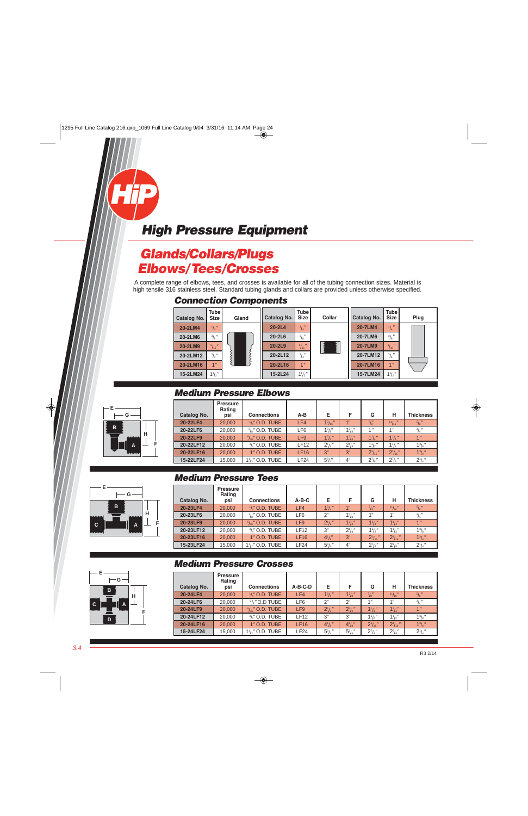## <span id="page-3-0"></span>**Glands/Collars/Plugs Elbows/Tees/Crosses**

A complete range of elbows, tees, and crosses is available for all of the tubing connection sizes. Material is high tensile 316 stainless steel. Standard tubing glands and collars are provided unless otherwise specified.

#### **Connection Components**



#### **Medium Pressure Elbows**

|   | Catalog No. | <b>Pressure</b><br>Rating<br>psi | <b>Connections</b>                        | $A-B$           | Е               | F               | G                       | н               | <b>Thickness</b>    |
|---|-------------|----------------------------------|-------------------------------------------|-----------------|-----------------|-----------------|-------------------------|-----------------|---------------------|
|   | 20-22LF4    | 20,000                           | $1/4$ " O.D. TUBE                         | LF4             | $1^{3}/_{16}$ " | 4 <sup>11</sup> | $^{7}/\!$ $\frac{1}{8}$ | $^{11}/_{16}$ " | $^{5}/_{8}$ "       |
|   | 20-22LF6    | 20,000                           | $\frac{3}{8}$ " O.D. TUBE                 | LF <sub>6</sub> | $1^{3}/8$       | $1^{3}/s''$     | 4 <sub>II</sub>         | 1 <sup>''</sup> | $^{3}/_{4}$ "       |
| н | 20-22LF9    | 20,000                           | $\frac{9}{16}$ " O.D. TUBE                | LF <sub>9</sub> | $1^{3}/4$ "     | $1^{3}/_{4}$ "  | $1^{1}/_{4}$ "          | $1^{1}/_{4}$ "  | 1 <sup>''</sup>     |
|   | 20-22LF12   | 20,000                           | $\frac{3}{4}$ " O.D. TUBE                 | LF12            | $2^{1}/4$       | $2^{1}/4$       | $1\frac{1}{2}$          | $1\frac{1}{2}$  | $1^{3}/3''$         |
|   | 20-22LF16   | 20,000                           | 1" O.D. TUBE                              | <b>LF16</b>     | 3"              | 3"              | $2^{1}/_{16}$           | $21/16$ "       | 1 <sup>3</sup> /4'' |
|   | 15-22LF24   | 15,000                           | 1 <sup>1</sup> / <sub>2</sub> " O.D. TUBE | <b>LF24</b>     | $5^{3}/_{4}$ "  | 4"              | $2^7$ /s"               | $2^7/s''$       | $2^1/4''$           |

#### **Medium Pressure Tees**

| <b>Catalog No.</b> | <b>Pressure</b><br>Rating<br>psi | <b>Connections</b>         | $A-B-C$         | Е                | F              | G                             | н               | <b>Thickness</b> |
|--------------------|----------------------------------|----------------------------|-----------------|------------------|----------------|-------------------------------|-----------------|------------------|
| 20-23LF4           | 20,000                           | $\frac{1}{4}$ " O.D. TUBE  | LF4             | $1^{3}/4$        | 4"             | $^{7}/_{8}$ "                 | 11/16           | $^{5}/_{8}$ "    |
| 20-23LF6           | 20,000                           | $\frac{3}{8}$ " O.D. TUBE  | LF <sub>6</sub> | 2"               | $1^{3}/8$      | 1"                            | 4 <sub>  </sub> | $^{3}/_{4}$ "    |
| 20-23LF9           | 20,000                           | $\frac{9}{16}$ " O.D. TUBE | LF <sub>9</sub> | $2^{1/2}$        | $1^{3}/_{4}$ " | $1^{1}/_{4}$ "                | $1^{1}/_{4}$ "  | 1 <sup>11</sup>  |
| 20-23LF12          | 20,000                           | $\frac{3}{4}$ " O.D. TUBE  | LF12            | 3"               | $2^1/4''$      | $1^{1}/2$                     | $1\frac{1}{2}$  | $1^3/s''$        |
| 20-23LF16          | 20,000                           | 1" O.D. TUBE               | <b>LF16</b>     | $4^{1}/s''$      | 3"             | $\mathbf{u}$<br>$2^{1}/_{16}$ | $2^{1}/_{16}$ " | $1^3/4''$        |
| 15-23LF24          | 15,000                           | $1\frac{1}{2}$ / O.D. TUBE | LF24            | $5\frac{3}{4}$ " | 4"             | $2^7$ /s"                     | $2^7/s''$       | $2^{1}/_{4}$ "   |

#### **H F G B A D C**

#### **Medium Pressure Crosses**

|                    | <b>Pressure</b><br>Rating |                             |                 |                  |                  |                      |                    |                  |
|--------------------|---------------------------|-----------------------------|-----------------|------------------|------------------|----------------------|--------------------|------------------|
| <b>Catalog No.</b> | psi                       | <b>Connections</b>          | $A-B-C-D$       | Е                | F                | G                    | н                  | <b>Thickness</b> |
| 20-24LF4           | 20,000                    | $\frac{1}{4}$ " O.D. TUBE   | LF4             | $1^{3}/_{4}$ "   | $1^{3}/8$ "      | $^7$ / $\frac{1}{8}$ | 11/16              | $^{5}/_{8}$ "    |
| 20-24LF6           | 20,000                    | $\frac{3}{8}$ " O.D TUBE    | LF6             | 2"               | 2"               | 1"                   | $4$ $\overline{1}$ | $^{3}/_{4}$ "    |
| 20-24LF9           | 20,000                    | $\frac{9}{16}$ " O.D. TUBE  | LF <sub>9</sub> | $2^{1}/2$ "      | $2^{1}/2$ "      | $1^{1}/4$            | $1^{1}/4$          | 1 <sup>''</sup>  |
| 20-24LF12          | 20,000                    | $\frac{3}{4}$ " O.D. TUBE   | <b>LF12</b>     | 3"               | 3"               | $1\frac{1}{2}$       | $1\frac{1}{2}$     | $1^{3}/8$        |
| 20-24LF16          | 20,000                    | 1" O.D. TUBE                | LF16            | $4^{1}/s$        | $4^{1}/s$        | $2^{1}/_{16}$ "      | $2^{1}/_{16}$ "    | $1^{3}/_{4}$ "   |
| 15-24LF24          | 15,000                    | $1\frac{1}{2}$ ," O.D. TUBE | LF24            | $5\frac{3}{4}$ " | $5\frac{3}{4}$ " | $2^7$ /s"            | $2^7$ /s"          | $2^{1}/4$        |



**B**

**C A**

**G**

**A**

**G**

**H**

**F**

**E**

**B**

**E**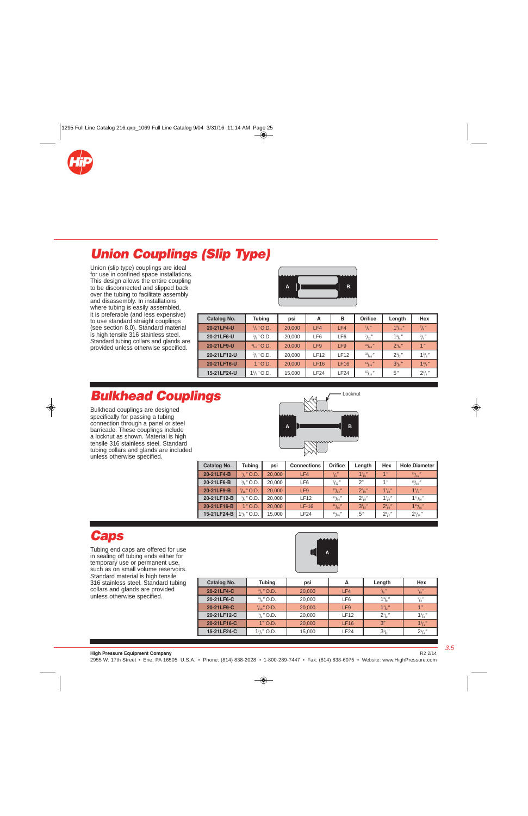<span id="page-4-0"></span>

# **Union Couplings (Slip Type)**

Union (slip type) couplings are ideal for use in confined space installations. This design allows the entire coupling to be disconnected and slipped back over the tubing to facilitate assembly and disassembly. In installations where tubing is easily assembled, it is preferable (and less expensive) to use standard straight couplings (see section 8.0). Standard material is high tensile 316 stainless steel. Standard tubing collars and glands are provided unless otherwise specified.



| Catalog No. | <b>Tubing</b>                 | psi    | А               | в               | <b>Orifice</b>  | Length            | Hex            |
|-------------|-------------------------------|--------|-----------------|-----------------|-----------------|-------------------|----------------|
| 20-21LF4-U  | $\frac{1}{4}$ " O.D.          | 20,000 | LF4             | LF4             | $\frac{1}{8}$   | $1\frac{9}{16}$ " | $\frac{5}{8}$  |
| 20-21LF6-U  | $\frac{3}{8}$ " O.D.          | 20,000 | LF6             | LF6             | $^{7}/_{32}$ "  | $1^{3}/_{4}$ "    | $^{3}/_{4}$ "  |
| 20-21LF9-U  | $\frac{9}{16}$ " O.D.         | 20,000 | LF <sub>9</sub> | LF <sub>9</sub> | $^{23}/_{64}$ " | $2^1/s''$         | 1 <sup>n</sup> |
| 20-21LF12-U | $\frac{3}{4}$ " O.D.          | 20,000 | <b>LF12</b>     | <b>LF12</b>     | $\frac{33}{64}$ | $2^1/2$           | $1^{3}/8$ "    |
| 20-21LF16-U | $1"$ O.D.                     | 20,000 | <b>LF16</b>     | LF16            | 11/16           | $3^{1}/2$         | $1^{3}/4$      |
| 15-21LF24-U | $1\frac{1}{2}$ $\degree$ O.D. | 15,000 | LF24            | LF24            | 15/16           | 5"                | $2^1/4''$      |

## **Bulkhead Couplings**

Bulkhead couplings are designed specifically for passing a tubing connection through a panel or steel barricade. These couplings include a locknut as shown. Material is high tensile 316 stainless steel. Standard tubing collars and glands are included unless otherwise specified.



| Catalog No. | Tubing                        | psi    | <b>Connections</b> | Orifice        | Length      | Hex            | <b>Hole Diameter</b> |
|-------------|-------------------------------|--------|--------------------|----------------|-------------|----------------|----------------------|
| 20-21LF4-B  | $\frac{1}{4}$ " O.D.          | 20,000 | LF4                | $\frac{1}{8}$  | $1^{7}/s''$ | 1 <sup>n</sup> | $\frac{13}{16}$      |
| 20-21LF6-B  | $\frac{3}{8}$ " O.D.          | 20,000 | LF <sub>6</sub>    | $^{7}/_{32}$ " | 2"          | 1 <sup>n</sup> | 15/16                |
| 20-21LF9-B  | $\frac{9}{16}$ " O.D.         | 20,000 | LF <sub>9</sub>    | $^{23}/_{64}$  | $2^{3}/s$ " | $1^{3}/s''$    | $1\frac{1}{8}$       |
| 20-21LF12-B | $\frac{3}{4}$ " O.D.          | 20,000 | LF12               | 33/64          | $2^{5}/s$ " | $1^{7}/8$      | $1^{11}/_{16}$ "     |
| 20-21LF16-B | $1"$ O.D.                     | 20,000 | $LF-16$            | 11/16          | $3^{1}/2$ " | $2^{1}/s''$    | $1^{15}/_{16}$ "     |
| 15-21LF24-B | $1\frac{1}{2}$ $\degree$ O.D. | 15,000 | LF24               | 15/16          | 5"          | $2^{1}/2$      | $2^{7}/_{16}$ "      |

### **Caps**

Tubing end caps are offered for use in sealing off tubing ends either for temporary use or permanent use, such as on small volume reservoirs. Standard material is high tensile 316 stainless steel. Standard tubing collars and glands are provided unless otherwise specified.



| <b>Catalog No.</b> | <b>Tubing</b>         | psi    | А           | Length         | <b>Hex</b>           |
|--------------------|-----------------------|--------|-------------|----------------|----------------------|
| 20-21LF4-C         | $\frac{1}{4}$ " O.D.  | 20,000 | LF4         | $^{7}/_{8}$ "  | $^{5}/_{8}$ "        |
| 20-21LF6-C         | $\frac{3}{8}$ " O.D.  | 20,000 | LF6         | $1^{3}/_{8}$ " | $^{3}/_{4}$ "        |
| 20-21LF9-C         | $\frac{9}{16}$ " O.D. | 20,000 | LF9         | $1\frac{1}{2}$ | 4 <sub>  </sub>      |
| 20-21LF12-C        | $\frac{3}{4}$ " O.D.  | 20,000 | <b>LF12</b> | $2^1/2''$      | $1^{3}/\mathrm{s}$ " |
| 20-21LF16-C        | $1"$ O.D.             | 20,000 | LF16        | 3"             | $13/4$ "             |
| 15-21LF24-C        | $1\frac{1}{2}$ O.D.   | 15,000 | LF24        | $3^{1}/2$      | $2^{1}/_{4}$ "       |

3.5

R2 2/14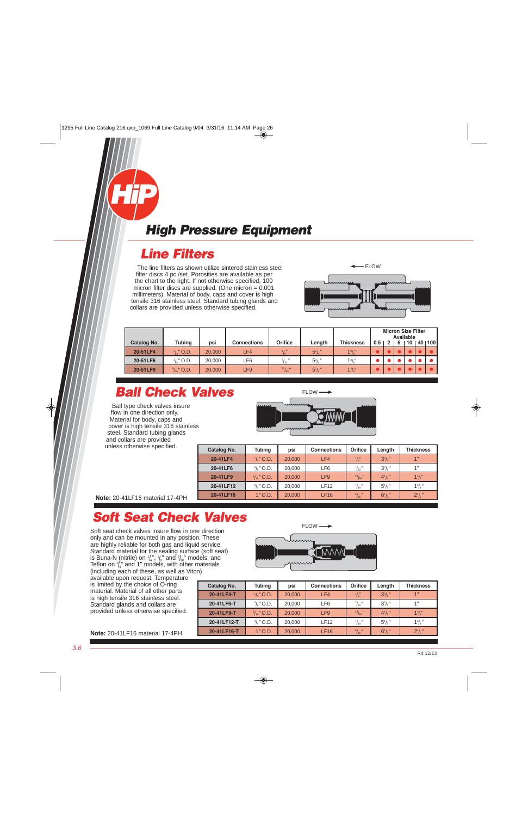<span id="page-5-0"></span>

### **Line Filters**

The line filters as shown utilize sintered stainless steel filter discs 4 pc./set. Porosities are available as per the chart to the right. If not otherwise specified, 100 micron filter discs are supplied. (One micron = 0.001 millimeters). Material of body, caps and cover is high tensile 316 stainless steel. Standard tubing glands and collars are provided unless otherwise specified.



|             |                       |        |                    |                 |                |                  |     | <b>Micron Size Filter</b><br>Available |  |    |  |        |
|-------------|-----------------------|--------|--------------------|-----------------|----------------|------------------|-----|----------------------------------------|--|----|--|--------|
| Catalog No. | <b>Tubing</b>         | psi    | <b>Connections</b> | Orifice         | Length         | <b>Thickness</b> | 0.5 |                                        |  | 10 |  | 401100 |
| 20-51LF4    | $\frac{1}{4}$ " O.D.  | 20,000 | LF4/               | $\frac{1}{8}$   | $5^{1}/_{4}$ " | $1^{3}/s''$      |     |                                        |  |    |  |        |
| 20-51LF6    | $\frac{3}{8}$ " O.D.  | 20,000 | ∟F6                | $^{7}/_{32}$ "  | $5^{1}/_{4}$ " | $1^{3}/s''$      |     |                                        |  |    |  |        |
| 20-51LF9    | $\frac{9}{16}$ " O.D. | 20,000 | LF9                | $^{23}/_{64}$ " | $5^{1}/4$      | $1^{3}/s''$      |     |                                        |  |    |  |        |

# **Ball Check Valves**

Ball type check valves insure flow in one direction only. Material for body, caps and cover is high tensile 316 stainless steel. Standard tubing glands and collars are provided unless otherwise specified.



| Catalog No. | <b>Tubing</b>         | psi    | <b>Connections</b> | Orifice          | Length         | <b>Thickness</b> |
|-------------|-----------------------|--------|--------------------|------------------|----------------|------------------|
| 20-41LF4    | $\frac{1}{4}$ " O.D.  | 20,000 | LF4                | $\frac{1}{8}$    | $3^{3}/4$ "    | 1"               |
| 20-41LF6    | $\frac{3}{8}$ " O.D.  | 20,000 | LF6                | $^{7}/_{32}$ "   | $3^{3}/_{4}$ " | 1"               |
| 20-41LF9    | $\frac{9}{16}$ " O.D. | 20,000 | LF <sub>9</sub>    | $^{23}/_{64}$ "  | $4^{1}/2$      | $1^{3}/s''$      |
| 20-41LF12   | $\frac{3}{4}$ " O.D.  | 20,000 | <b>LF12</b>        | $^{7}/_{16}$ "   | $5^{1}/s$      | $1^{3}/_{4}$ "   |
| 20-41LF16   | $1"$ O.D.             | 20,000 | LF16               | $\frac{9}{16}$ " | $6^{1}/2$      | $2^{1}/2$        |

**Note:** 20-41LF16 material 17-4PH

## **Soft Seat Check Valves**

Soft seat check valves insure flow in one direction only and can be mounted in any position. These are highly reliable for both gas and liquid service. Standard material for the sealing surface (soft seat) is Buna-N (nitrile) on  $1/4$ ,  $3/8$  and  $3/4$ <sub>6</sub> models, and Teflon on  $\frac{3}{4}$ " and 1" models, with other materials (including each of these, as well as Viton)

available upon request. Temperature is limited by the choice of O-ring material. Material of all other parts is high tensile 316 stainless steel. Standard glands and collars are provided unless otherwise specified.



| Catalog No. | <b>Tubing</b>         | <b>Connections</b><br>psi |             | Orifice         | Length         | <b>Thickness</b> |
|-------------|-----------------------|---------------------------|-------------|-----------------|----------------|------------------|
| 20-41LF4-T  | $\frac{1}{4}$ " O.D.  | 20,000                    | LF4         | $\frac{1}{8}$   | $3^{3}/_{4}$ " | 1"               |
| 20-41LF6-T  | $\frac{3}{8}$ " O.D.  | 20,000                    | LF6         | $^{7}/_{32}$ "  | $3^{3}/_{4}$ " | 1"               |
| 20-41LF9-T  | $\frac{9}{16}$ " O.D. | 20,000                    | LF9         | $^{23}/_{64}$ " | $4^{1}/2$      | $1^{3}/s''$      |
| 20-41LF12-T | $\frac{3}{4}$ " O.D.  | 20,000                    | <b>LF12</b> | $^{7}/_{16}$ "  | $5^{1}/s$      | $1^{3}/_{4}$ "   |
| 20-41LF16-T | $1"$ O.D.             | 20,000                    | LF16        | $\frac{9}{16}$  | $6^{1}/2$      | $2^{1}/2$        |

**Note:** 20-41LF16 material 17-4PH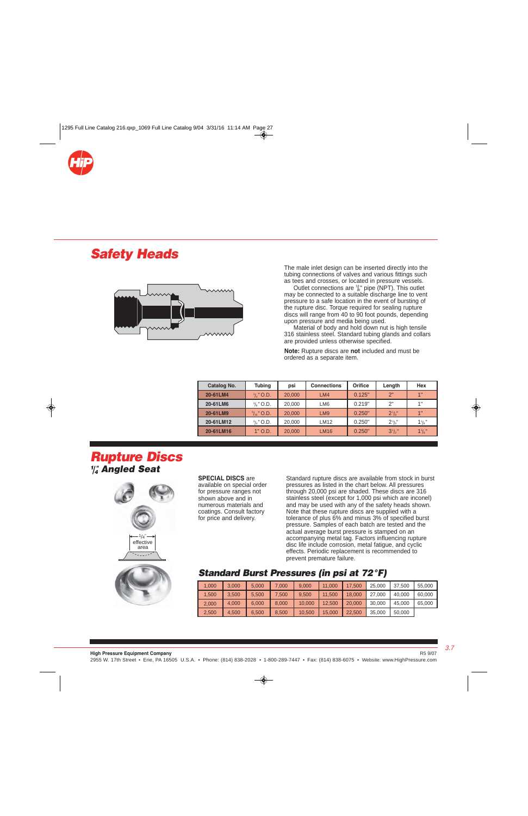<span id="page-6-0"></span>

## **Safety Heads**



 The male inlet design can be inserted directly into the tubing connections of valves and various fittings such as tees and crosses, or located in pressure vessels.

 $\sim$  Outlet connections are  $\frac{3}{8}$ " pipe (NPT). This outlet **EXAMARE CONNECTED THE CONNECTED SUITE** THE CONNECTED MAY be connected to a suitable discharge line to vent pressure to a safe location in the event of bursting of the rupture disc. Torque required for sealing rupture discs will range from 40 to 90 foot pounds, depending upon pressure and media being used.

Material of body and hold down nut is high tensile 316 stainless steel. Standard tubing glands and collars are provided unless otherwise specified.

 **Note:** Rupture discs are **not** included and must be ordered as a separate item.

| Catalog No. | <b>Tubing</b>         | psi    | <b>Connections</b> | Orifice | Length         | Hex              |
|-------------|-----------------------|--------|--------------------|---------|----------------|------------------|
| 20-61LM4    | $\frac{1}{4}$ " O.D.  | 20,000 | LM4                | 0.125"  | 2"             | 4 <sup>  </sup>  |
| 20-61LM6    | $\frac{3}{8}$ " O.D.  | 20,000 | LM <sub>6</sub>    | 0.219"  | 2"             | 4 !!             |
| 20-61LM9    | $\frac{9}{16}$ " O.D. | 20,000 | LM <sub>9</sub>    | 0.250"  | $2\frac{1}{8}$ | 4 <sub>  </sub>  |
| 20-61LM12   | $\frac{3}{4}$ " O.D.  | 20,000 | <b>LM12</b>        | 0.250"  | $2^{3}/s''$    | $1\frac{1}{8}$ " |
| 20-61LM16   | $1"$ O.D.             | 20,000 | <b>LM16</b>        | 0.250"  | $3^{1}/2$ "    | $1\frac{1}{8}$   |

### **Rupture Discs 1 /4 " Angled Seat**



**SPECIAL DISCS** are available on special order for pressure ranges not shown above and in numerous materials and coatings. Consult factory for price and delivery.

Standard rupture discs are available from stock in burst pressures as listed in the chart below. All pressures through 20,000 psi are shaded. These discs are 316 stainless steel (except for 1,000 psi which are inconel) and may be used with any of the safety heads shown. Note that these rupture discs are supplied with a tolerance of plus 6% and minus 3% of specified burst pressure. Samples of each batch are tested and the actual average burst pressure is stamped on an accompanying metal tag. Factors influencing rupture disc life include corrosion, metal fatigue, and cyclic effects. Periodic replacement is recommended to prevent premature failure.



#### **Standard Burst Pressures (in psi at 72°F)**

| 1.000 | 3.000 | 5.000 | 000.7 | 9.000  | 11.000 | 17.500 | 25,000 | 37.500 | 55,000 |
|-------|-------|-------|-------|--------|--------|--------|--------|--------|--------|
| 1,500 | 3.500 | 5.500 | 7.500 | 9.500  | 11.500 | 18.000 | 27,000 | 40.000 | 60,000 |
| 2,000 | 4.000 | 6.000 | 8.000 | 10.000 | 12.500 | 20,000 | 30,000 | 45.000 | 65,000 |
| 2,500 | 4.500 | 6.500 | 8.500 | 10.500 | 15,000 | 22.500 | 35,000 | 50,000 |        |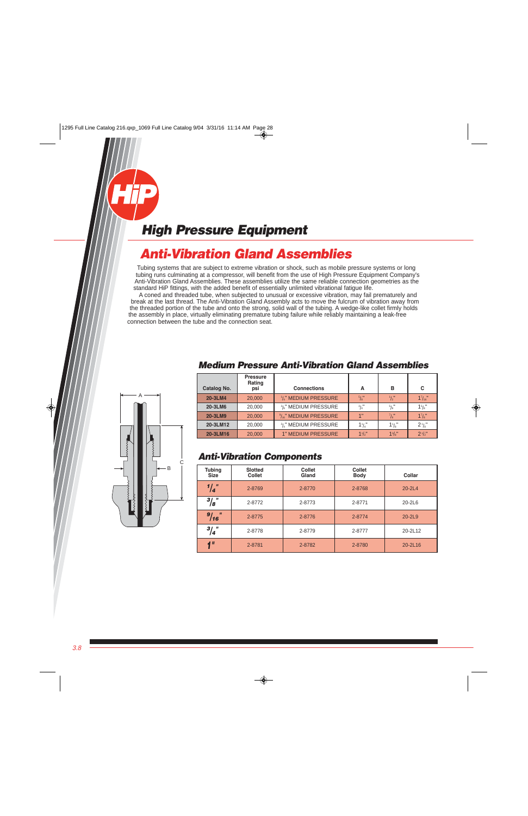## <span id="page-7-0"></span>**Anti-Vibration Gland Assemblies**

Tubing systems that are subject to extreme vibration or shock, such as mobile pressure systems or long tubing runs culminating at a compressor, will benefit from the use of High Pressure Equipment Company's Anti-Vibration Gland Assemblies. These assemblies utilize the same reliable connection geometries as the standard HiP fittings, with the added benefit of essentially unlimited vibrational fatigue life.

 A coned and threaded tube, when subjected to unusual or excessive vibration, may fail prematurely and break at the last thread. The Anti-Vibration Gland Assembly acts to move the fulcrum of vibration away from the threaded portion of the tube and onto the strong, solid wall of the tubing. A wedge-like collet firmly holds the assembly in place, virtually eliminating premature tubing failure while reliably maintaining a leak-free connection between the tube and the connection seat.

| Catalog No. | <b>Pressure</b><br>Rating<br>psi | <b>Connections</b>                            | Α                        | в              | C                 |
|-------------|----------------------------------|-----------------------------------------------|--------------------------|----------------|-------------------|
| 20-3LM4     | 20,000                           | $1/4$ " MEDIUM PRESSURE                       | $^{5}/_{8}$ "            | $\frac{1}{2}$  | $1^{7}/_{16}$ "   |
| 20-3LM6     | 20,000                           | $\frac{3}{8}$ " MEDIUM PRESSURE               | $^{3}/_{4}$ <sup>"</sup> | $^{5}/_{8}$ "  | 15/8"             |
| 20-3LM9     | 20,000                           | $\frac{9}{16}$ " MEDIUM PRESSURE              | 1"                       | $^{7}/_{8}$ "  | $1^{7}/s$         |
| 20-3LM12    | 20,000                           | <sup>3</sup> / <sub>4</sub> " MEDIUM PRESSURE | $1\frac{1}{4}$           | $1\frac{1}{8}$ | $2^{\frac{1}{8}}$ |
| 20-3LM16    | 20,000                           | <b>1" MEDIUM PRESSURE</b>                     | $11/2$ "                 | $1^{3}/8$ "    | $2^{1/2}$         |

#### **Medium Pressure Anti-Vibration Gland Assemblies**

#### **Anti-Vibration Components**

| <b>Tubing</b><br><b>Size</b> | <b>Slotted</b><br><b>Collet</b> | <b>Collet</b><br>Gland | <b>Collet</b><br><b>Body</b> | Collar     |
|------------------------------|---------------------------------|------------------------|------------------------------|------------|
| $\frac{1}{4}$                | 2-8769                          | 2-8770                 | 2-8768                       | $20 - 2L4$ |
| $\frac{3}{8}$ "              | 2-8772                          | 2-8773                 | 2-8771                       | $20-2L6$   |
| $\mathbf{u}$<br>9/16         | 2-8775                          | 2-8776                 | 2-8774                       | $20 - 2L9$ |
| $^{3}/_{4}$ "                | 2-8778                          | 2-8779                 | 2-8777                       | 20-2L12    |
| $\blacksquare$               | 2-8781                          | 2-8782                 | 2-8780                       | 20-2L16    |

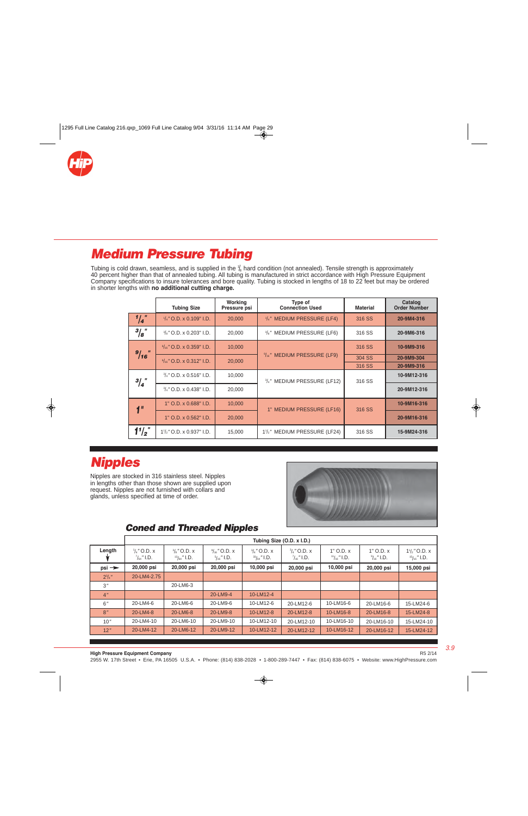<span id="page-8-0"></span>

## **Medium Pressure Tubing**

Tubing is cold drawn, seamless, and is supplied in the  $\frac{1}{6}$  hard condition (not annealed). Tensile strength is approximately 40 percent higher than that of annealed tubing. All tubing is manufactured in strict accordance with High Pressure Equipment Company specifications to insure tolerances and bore quality. Tubing is stocked in lengths of 18 to 22 feet but may be ordered in shorter lengths with **no additional cutting charge.**

|               | <b>Tubing Size</b>                  | Working<br>Pressure psi | Type of<br><b>Connection Used</b>                      | <b>Material</b> | Catalog<br><b>Order Number</b> |
|---------------|-------------------------------------|-------------------------|--------------------------------------------------------|-----------------|--------------------------------|
| $1/4$ "       | $\frac{1}{4}$ " O.D. x 0.109" I.D.  | 20,000                  | $\frac{1}{4}$ " MEDIUM PRESSURE (LF4)                  | 316 SS          | 20-9M4-316                     |
| $^{3}/_{8}$ " | $\frac{3}{8}$ " O.D. x 0.203" I.D.  | 20,000                  | <sup>3</sup> / <sub>8</sub> " MEDIUM PRESSURE (LF6)    | 316 SS          | 20-9M6-316                     |
|               | $\frac{9}{16}$ " O.D. x 0.359" I.D. | 10,000                  |                                                        | 316 SS          | 10-9M9-316                     |
| 9/16          | $\frac{9}{16}$ " O.D. x 0.312" I.D. | 20,000                  | $\frac{9}{16}$ " MEDIUM PRESSURE (LF9)                 | 304 SS          | 20-9M9-304                     |
|               |                                     |                         |                                                        | 316 SS          | 20-9M9-316                     |
| $^{3}/_{4}$ " | $\frac{3}{4}$ " O.D. x 0.516" I.D.  | 10,000                  | 3/4" MEDIUM PRESSURE (LF12)                            | 316 SS          | 10-9M12-316                    |
|               | $\frac{3}{4}$ " O.D. x 0.438" I.D.  | 20,000                  |                                                        |                 | 20-9M12-316                    |
| $\mathbf{I}$  | 1" O.D. x 0.688" I.D.               | 10,000                  | 1" MEDIUM PRESSURE (LF16)                              | 316 SS          | 10-9M16-316                    |
|               | 1" O.D. x 0.562" I.D.               | 20,000                  |                                                        |                 | 20-9M16-316                    |
| $1^1/2$       | $1\frac{1}{2}$ " O.D. x 0.937" I.D. | 15,000                  | 1 <sup>1</sup> / <sub>2</sub> " MEDIUM PRESSURE (LF24) | 316 SS          | 15-9M24-316                    |

## **Nipples**

Nipples are stocked in 316 stainless steel. Nipples in lengths other than those shown are supplied upon request. Nipples are not furnished with collars and glands, unless specified at time of order.



### **Coned and Threaded Nipples**

|                   |                                                 |                                              |                                                  |                                                | Tubing Size (O.D. x I.D.)                       |                                       |                                        |                                              |
|-------------------|-------------------------------------------------|----------------------------------------------|--------------------------------------------------|------------------------------------------------|-------------------------------------------------|---------------------------------------|----------------------------------------|----------------------------------------------|
| Length            | $\frac{1}{4}$ " O.D. x<br>$\frac{7}{64}$ " I.D. | $^{3}/_{8}$ " O.D. x<br>$^{13}/_{64}$ " I.D. | $\frac{9}{16}$ " O.D. x<br>$\frac{5}{16}$ " I.D. | $\frac{3}{4}$ " O.D. x<br>$^{33}/_{64}$ " I.D. | $\frac{3}{4}$ " O.D. x<br>$\frac{7}{16}$ " I.D. | $1"$ O.D. $x$<br>$\frac{11}{16}$ I.D. | $1"$ O.D. $x$<br>$\frac{9}{16}$ " I.D. | $1\frac{1}{2}$ " O.D. x<br>$15/16$ $\,$ I.D. |
| $psi \rightarrow$ | 20,000 psi                                      | 20,000 psi                                   | 20,000 psi                                       | 10,000 psi                                     | 20,000 psi                                      | 10,000 psi                            | 20,000 psi                             | 15,000 psi                                   |
| $2^{3}/4$ "       | 20-LM4-2.75                                     |                                              |                                                  |                                                |                                                 |                                       |                                        |                                              |
| 3''               |                                                 | 20-LM6-3                                     |                                                  |                                                |                                                 |                                       |                                        |                                              |
| 4 <sup>n</sup>    |                                                 |                                              | 20-LM9-4                                         | 10-LM12-4                                      |                                                 |                                       |                                        |                                              |
| 6''               | 20-LM4-6                                        | 20-LM6-6                                     | 20-LM9-6                                         | 10-LM12-6                                      | 20-LM12-6                                       | 10-LM16-6                             | 20-LM16-6                              | 15-LM24-6                                    |
| 8''               | 20-LM4-8                                        | 20-LM6-8                                     | 20-LM9-8                                         | 10-LM12-8                                      | 20-LM12-8                                       | 10-LM16-8                             | 20-LM16-8                              | 15-LM24-8                                    |
| 10''              | 20-LM4-10                                       | 20-LM6-10                                    | 20-LM9-10                                        | 10-LM12-10                                     | 20-LM12-10                                      | 10-LM16-10                            | 20-LM16-10                             | 15-LM24-10                                   |
| 12"               | 20-LM4-12                                       | 20-LM6-12                                    | 20-LM9-12                                        | 10-LM12-12                                     | 20-LM12-12                                      | 10-LM16-12                            | 20-LM16-12                             | 15-LM24-12                                   |

R5 2/14